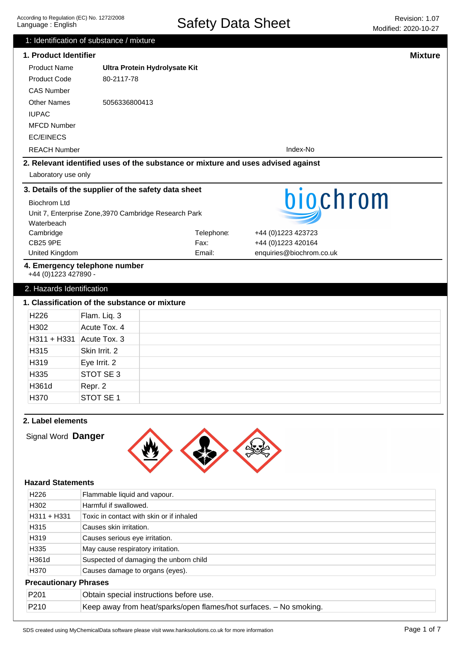|                           | 1: Identification of substance / mixture                                         |            |                          |                |
|---------------------------|----------------------------------------------------------------------------------|------------|--------------------------|----------------|
| 1. Product Identifier     |                                                                                  |            |                          | <b>Mixture</b> |
| <b>Product Name</b>       | Ultra Protein Hydrolysate Kit                                                    |            |                          |                |
| <b>Product Code</b>       | 80-2117-78                                                                       |            |                          |                |
| <b>CAS Number</b>         |                                                                                  |            |                          |                |
| <b>Other Names</b>        | 5056336800413                                                                    |            |                          |                |
| <b>IUPAC</b>              |                                                                                  |            |                          |                |
| <b>MFCD Number</b>        |                                                                                  |            |                          |                |
| <b>EC/EINECS</b>          |                                                                                  |            |                          |                |
| <b>REACH Number</b>       |                                                                                  |            | Index-No                 |                |
|                           | 2. Relevant identified uses of the substance or mixture and uses advised against |            |                          |                |
| Laboratory use only       |                                                                                  |            |                          |                |
|                           | 3. Details of the supplier of the safety data sheet                              |            |                          |                |
| <b>Biochrom Ltd</b>       |                                                                                  |            | biochrom                 |                |
|                           | Unit 7, Enterprise Zone, 3970 Cambridge Research Park                            |            |                          |                |
| Waterbeach                |                                                                                  |            |                          |                |
| Cambridge                 |                                                                                  | Telephone: | +44 (0)1223 423723       |                |
| <b>CB25 9PE</b>           |                                                                                  | Fax:       | +44 (0)1223 420164       |                |
| United Kingdom            |                                                                                  | Email:     | enquiries@biochrom.co.uk |                |
| +44 (0)1223 427890 -      | 4. Emergency telephone number                                                    |            |                          |                |
| 2. Hazards Identification |                                                                                  |            |                          |                |
|                           | 1. Classification of the substance or mixture                                    |            |                          |                |
| H226                      | Flam. Liq. 3                                                                     |            |                          |                |
| H302                      | Acute Tox. 4                                                                     |            |                          |                |
| $H311 + H331$             | Acute Tox. 3                                                                     |            |                          |                |
| H315                      | Skin Irrit. 2                                                                    |            |                          |                |
| H319                      | Eye Irrit. 2                                                                     |            |                          |                |
| H <sub>335</sub>          | STOT SE 3                                                                        |            |                          |                |
| H361d                     | Repr. 2                                                                          |            |                          |                |
| H370                      | STOT SE 1                                                                        |            |                          |                |
|                           |                                                                                  |            |                          |                |
| 2. Label elements         |                                                                                  |            |                          |                |
| Signal Word Danger        |                                                                                  |            |                          |                |
|                           |                                                                                  |            |                          |                |
|                           |                                                                                  |            |                          |                |
|                           |                                                                                  |            |                          |                |
| <b>Hazard Statements</b>  |                                                                                  |            |                          |                |
| H <sub>226</sub>          | Flammable liquid and vapour.                                                     |            |                          |                |
| H302                      | Harmful if swallowed.                                                            |            |                          |                |
| H311 + H331               | Toxic in contact with skin or if inhaled                                         |            |                          |                |
| H315                      | Causes skin irritation.                                                          |            |                          |                |
| H319                      | Causes serious eye irritation.                                                   |            |                          |                |
| H335                      | May cause respiratory irritation.                                                |            |                          |                |
| H361d                     | Suspected of damaging the unborn child                                           |            |                          |                |
| H370                      | Causes damage to organs (eyes).                                                  |            |                          |                |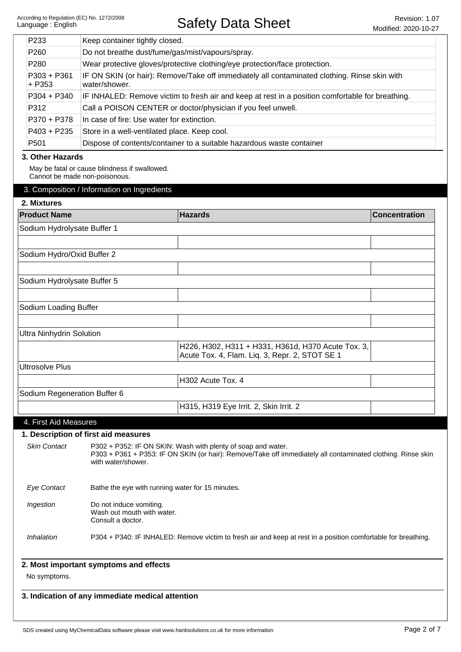| P233                            | Keep container tightly closed.                                                                                                                                                                    |                                                                                                               |                      |
|---------------------------------|---------------------------------------------------------------------------------------------------------------------------------------------------------------------------------------------------|---------------------------------------------------------------------------------------------------------------|----------------------|
| P260                            | Do not breathe dust/fume/gas/mist/vapours/spray.                                                                                                                                                  |                                                                                                               |                      |
| P280                            | Wear protective gloves/protective clothing/eye protection/face protection.                                                                                                                        |                                                                                                               |                      |
| $P303 + P361$<br>$+ P353$       | IF ON SKIN (or hair): Remove/Take off immediately all contaminated clothing. Rinse skin with<br>water/shower.                                                                                     |                                                                                                               |                      |
| $P304 + P340$                   |                                                                                                                                                                                                   | IF INHALED: Remove victim to fresh air and keep at rest in a position comfortable for breathing.              |                      |
| P312                            |                                                                                                                                                                                                   | Call a POISON CENTER or doctor/physician if you feel unwell.                                                  |                      |
| P370 + P378                     | In case of fire: Use water for extinction.                                                                                                                                                        |                                                                                                               |                      |
| $P403 + P235$                   | Store in a well-ventilated place. Keep cool.                                                                                                                                                      |                                                                                                               |                      |
| P <sub>501</sub>                |                                                                                                                                                                                                   | Dispose of contents/container to a suitable hazardous waste container                                         |                      |
| 3. Other Hazards                |                                                                                                                                                                                                   |                                                                                                               |                      |
| Cannot be made non-poisonous.   | May be fatal or cause blindness if swallowed.                                                                                                                                                     |                                                                                                               |                      |
|                                 | 3. Composition / Information on Ingredients                                                                                                                                                       |                                                                                                               |                      |
| 2. Mixtures                     |                                                                                                                                                                                                   |                                                                                                               |                      |
| <b>Product Name</b>             |                                                                                                                                                                                                   | <b>Hazards</b>                                                                                                | <b>Concentration</b> |
|                                 |                                                                                                                                                                                                   |                                                                                                               |                      |
| Sodium Hydrolysate Buffer 1     |                                                                                                                                                                                                   |                                                                                                               |                      |
|                                 |                                                                                                                                                                                                   |                                                                                                               |                      |
| Sodium Hydro/Oxid Buffer 2      |                                                                                                                                                                                                   |                                                                                                               |                      |
|                                 |                                                                                                                                                                                                   |                                                                                                               |                      |
| Sodium Hydrolysate Buffer 5     |                                                                                                                                                                                                   |                                                                                                               |                      |
|                                 |                                                                                                                                                                                                   |                                                                                                               |                      |
| Sodium Loading Buffer           |                                                                                                                                                                                                   |                                                                                                               |                      |
|                                 |                                                                                                                                                                                                   |                                                                                                               |                      |
| <b>Ultra Ninhydrin Solution</b> |                                                                                                                                                                                                   |                                                                                                               |                      |
|                                 |                                                                                                                                                                                                   | H226, H302, H311 + H331, H361d, H370 Acute Tox. 3,<br>Acute Tox. 4, Flam. Liq. 3, Repr. 2, STOT SE 1          |                      |
| <b>Ultrosolve Plus</b>          |                                                                                                                                                                                                   |                                                                                                               |                      |
|                                 |                                                                                                                                                                                                   | H302 Acute Tox. 4                                                                                             |                      |
| Sodium Regeneration Buffer 6    |                                                                                                                                                                                                   |                                                                                                               |                      |
|                                 |                                                                                                                                                                                                   | H315, H319 Eye Irrit. 2, Skin Irrit. 2                                                                        |                      |
|                                 |                                                                                                                                                                                                   |                                                                                                               |                      |
| 4. First Aid Measures           |                                                                                                                                                                                                   |                                                                                                               |                      |
|                                 | 1. Description of first aid measures                                                                                                                                                              |                                                                                                               |                      |
| <b>Skin Contact</b>             | P302 + P352: IF ON SKIN: Wash with plenty of soap and water.<br>P303 + P361 + P353: IF ON SKIN (or hair): Remove/Take off immediately all contaminated clothing. Rinse skin<br>with water/shower. |                                                                                                               |                      |
| <b>Eye Contact</b>              | Bathe the eye with running water for 15 minutes.                                                                                                                                                  |                                                                                                               |                      |
| Ingestion                       | Do not induce vomiting.<br>Wash out mouth with water.<br>Consult a doctor.                                                                                                                        |                                                                                                               |                      |
| Inhalation                      |                                                                                                                                                                                                   | P304 + P340: IF INHALED: Remove victim to fresh air and keep at rest in a position comfortable for breathing. |                      |
|                                 | 2. Most important symptoms and effects                                                                                                                                                            |                                                                                                               |                      |
| No symptoms.                    |                                                                                                                                                                                                   |                                                                                                               |                      |
|                                 | 3. Indication of any immediate medical attention                                                                                                                                                  |                                                                                                               |                      |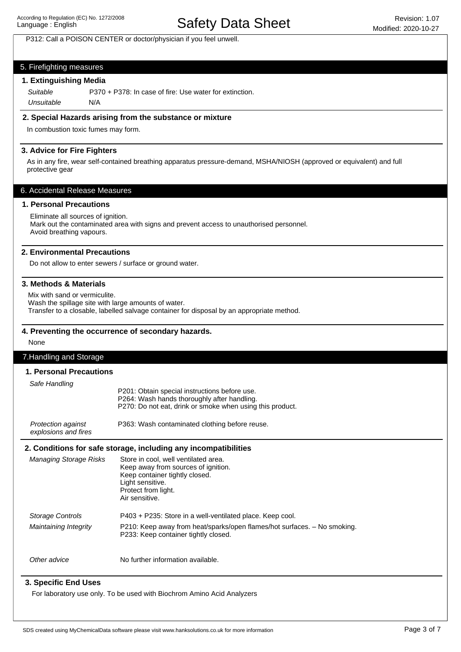# Safety Data Sheet Revision: 1.07

## P312: Call a POISON CENTER or doctor/physician if you feel unwell.

## 5. Firefighting measures

## **1. Extinguishing Media**

P370 + P378: In case of fire: Use water for extinction. Unsuitable N/A Suitable

## **2. Special Hazards arising from the substance or mixture**

In combustion toxic fumes may form.

## **3. Advice for Fire Fighters**

As in any fire, wear self-contained breathing apparatus pressure-demand, MSHA/NIOSH (approved or equivalent) and full protective gear

## 6. Accidental Release Measures

#### **1. Personal Precautions**

Eliminate all sources of ignition. Mark out the contaminated area with signs and prevent access to unauthorised personnel. Avoid breathing vapours.

#### **2. Environmental Precautions**

Do not allow to enter sewers / surface or ground water.

## **3. Methods & Materials**

Mix with sand or vermiculite. Wash the spillage site with large amounts of water. Transfer to a closable, labelled salvage container for disposal by an appropriate method.

#### **4. Preventing the occurrence of secondary hazards.**

#### None

## 7.Handling and Storage

#### **1. Personal Precautions**

| Safe Handling                                     | P201: Obtain special instructions before use.<br>P264: Wash hands thoroughly after handling.<br>P270: Do not eat, drink or smoke when using this product. |  |
|---------------------------------------------------|-----------------------------------------------------------------------------------------------------------------------------------------------------------|--|
| <b>Protection against</b><br>explosions and fires | P363: Wash contaminated clothing before reuse.                                                                                                            |  |

#### **2. Conditions for safe storage, including any incompatibilities**

| <b>Managing Storage Risks</b> | Store in cool, well ventilated area.<br>Keep away from sources of ignition.<br>Keep container tightly closed.<br>Light sensitive.<br>Protect from light.<br>Air sensitive. |
|-------------------------------|----------------------------------------------------------------------------------------------------------------------------------------------------------------------------|
| <b>Storage Controls</b>       | P403 + P235: Store in a well-ventilated place. Keep cool.                                                                                                                  |
| Maintaining Integrity         | P210: Keep away from heat/sparks/open flames/hot surfaces. – No smoking.<br>P233: Keep container tightly closed.                                                           |
| Other advice                  | No further information available.                                                                                                                                          |

## **3. Specific End Uses**

For laboratory use only. To be used with Biochrom Amino Acid Analyzers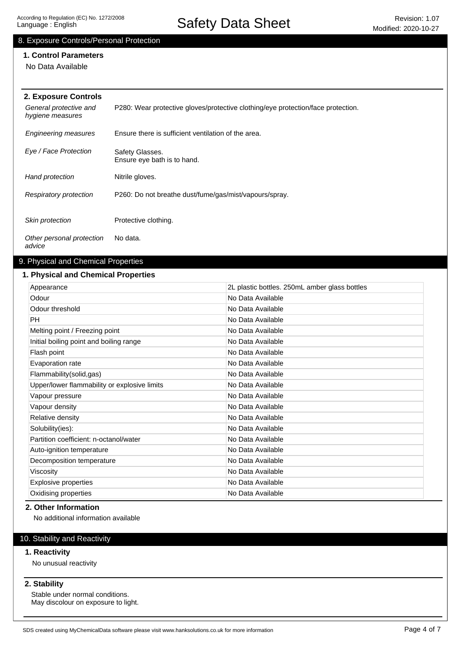# Safety Data Sheet Revision: 1.07

# 8. Exposure Controls/Personal Protection

# **1. Control Parameters**

No Data Available

| 2. Exposure Controls                       |                                                                                  |  |
|--------------------------------------------|----------------------------------------------------------------------------------|--|
| General protective and<br>hygiene measures | P280: Wear protective gloves/protective clothing/eye protection/face protection. |  |
| <b>Engineering measures</b>                | Ensure there is sufficient ventilation of the area.                              |  |
| Eye / Face Protection                      | Safety Glasses.<br>Ensure eye bath is to hand.                                   |  |
| Hand protection                            | Nitrile gloves.                                                                  |  |
| Respiratory protection                     | P260: Do not breathe dust/fume/gas/mist/vapours/spray.                           |  |
| Skin protection                            | Protective clothing.                                                             |  |
| Other personal protection<br>advice        | No data.                                                                         |  |

# 9. Physical and Chemical Properties

## **1. Physical and Chemical Properties**

| Appearance                                   | 2L plastic bottles. 250mL amber glass bottles |
|----------------------------------------------|-----------------------------------------------|
| Odour                                        | No Data Available                             |
| Odour threshold                              | No Data Available                             |
| <b>PH</b>                                    | No Data Available                             |
| Melting point / Freezing point               | No Data Available                             |
| Initial boiling point and boiling range      | No Data Available                             |
| Flash point                                  | No Data Available                             |
| Evaporation rate                             | No Data Available                             |
| Flammability(solid,gas)                      | No Data Available                             |
| Upper/lower flammability or explosive limits | No Data Available                             |
| Vapour pressure                              | No Data Available                             |
| Vapour density                               | No Data Available                             |
| Relative density                             | No Data Available                             |
| Solubility(ies):                             | No Data Available                             |
| Partition coefficient: n-octanol/water       | No Data Available                             |
| Auto-ignition temperature                    | No Data Available                             |
| Decomposition temperature                    | No Data Available                             |
| Viscosity                                    | No Data Available                             |
| <b>Explosive properties</b>                  | No Data Available                             |
| Oxidising properties                         | No Data Available                             |

## **2. Other Information**

No additional information available

# 10. Stability and Reactivity

## **1. Reactivity**

No unusual reactivity

## **2. Stability**

Stable under normal conditions. May discolour on exposure to light.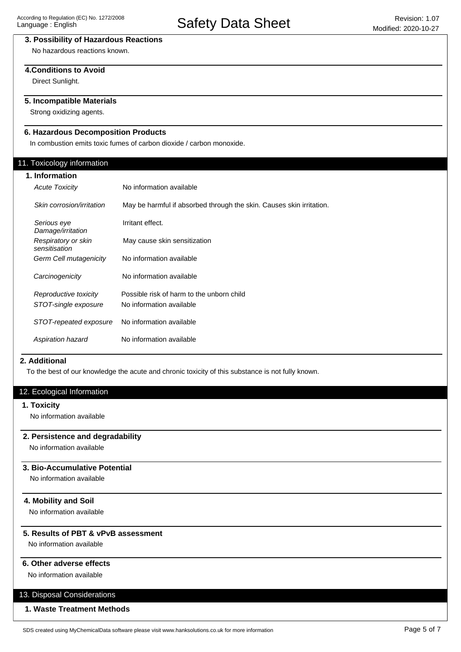# **3. Possibility of Hazardous Reactions**

No hazardous reactions known.

## **4.Conditions to Avoid**

Direct Sunlight.

# **5. Incompatible Materials**

Strong oxidizing agents.

# **6. Hazardous Decomposition Products**

In combustion emits toxic fumes of carbon dioxide / carbon monoxide.

## 11. Toxicology information

| 1. Information |                                      |                                                                      |
|----------------|--------------------------------------|----------------------------------------------------------------------|
|                | <b>Acute Toxicity</b>                | No information available                                             |
|                | Skin corrosion/irritation            | May be harmful if absorbed through the skin. Causes skin irritation. |
|                | Serious eye<br>Damage/irritation     | Irritant effect.                                                     |
|                | Respiratory or skin<br>sensitisation | May cause skin sensitization                                         |
|                | Germ Cell mutagenicity               | No information available                                             |
|                | Carcinogenicity                      | No information available                                             |
|                | Reproductive toxicity                | Possible risk of harm to the unborn child                            |
|                | STOT-single exposure                 | No information available                                             |
|                | STOT-repeated exposure               | No information available                                             |
|                | Aspiration hazard                    | No information available                                             |

## **2. Additional**

To the best of our knowledge the acute and chronic toxicity of this substance is not fully known.

## 12. Ecological Information

## **1. Toxicity**

No information available

# **2. Persistence and degradability**

No information available

## **3. Bio-Accumulative Potential**

No information available

## **4. Mobility and Soil**

No information available

## **5. Results of PBT & vPvB assessment**

No information available

## **6. Other adverse effects**

No information available

# 13. Disposal Considerations

## **1. Waste Treatment Methods**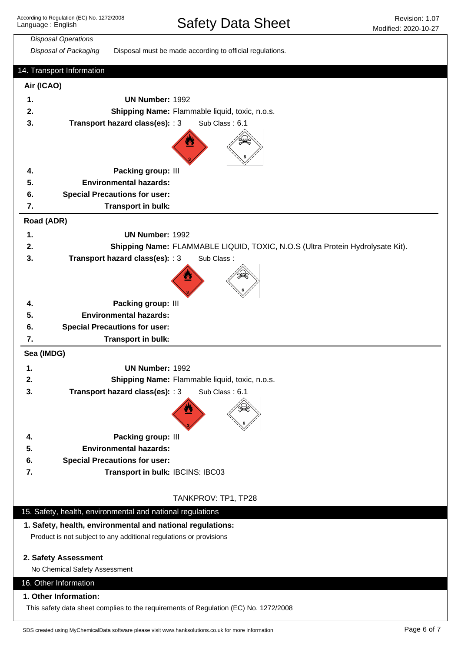| <b>Disposal Operations</b> |                                                                                      |
|----------------------------|--------------------------------------------------------------------------------------|
| Disposal of Packaging      | Disposal must be made according to official regulations.                             |
| 14. Transport Information  |                                                                                      |
| Air (ICAO)                 |                                                                                      |
| 1.                         | <b>UN Number: 1992</b>                                                               |
| 2.                         | Shipping Name: Flammable liquid, toxic, n.o.s.                                       |
| 3.                         | Transport hazard class(es): : 3<br>Sub Class: 6.1                                    |
|                            |                                                                                      |
| 4.                         | Packing group: III                                                                   |
| 5.                         | <b>Environmental hazards:</b>                                                        |
| 6.                         | <b>Special Precautions for user:</b>                                                 |
| 7.                         | Transport in bulk:                                                                   |
| Road (ADR)                 |                                                                                      |
| 1.                         | <b>UN Number: 1992</b>                                                               |
| 2.                         | Shipping Name: FLAMMABLE LIQUID, TOXIC, N.O.S (Ultra Protein Hydrolysate Kit).       |
| 3.                         | Transport hazard class(es): : 3<br>Sub Class:                                        |
|                            |                                                                                      |
| 4.                         | Packing group: III                                                                   |
| 5.                         | <b>Environmental hazards:</b>                                                        |
| 6.                         | <b>Special Precautions for user:</b>                                                 |
| 7.                         | Transport in bulk:                                                                   |
| Sea (IMDG)                 |                                                                                      |
| 1.                         | <b>UN Number: 1992</b>                                                               |
| 2                          | Shipping Name: Flammable liquid, toxic, n.o.s.                                       |
| 3.                         | Transport hazard class(es): : 3<br>Sub Class: 6.1                                    |
|                            |                                                                                      |
| 4.                         | Packing group: III                                                                   |
| 5.                         | <b>Environmental hazards:</b>                                                        |
| 6.                         | <b>Special Precautions for user:</b>                                                 |
| 7.                         | Transport in bulk: IBCINS: IBC03                                                     |
|                            |                                                                                      |
|                            | TANKPROV: TP1, TP28                                                                  |
|                            | 15. Safety, health, environmental and national regulations                           |
|                            | 1. Safety, health, environmental and national regulations:                           |
|                            | Product is not subject to any additional regulations or provisions                   |
| 2. Safety Assessment       | No Chemical Safety Assessment                                                        |
| 16. Other Information      |                                                                                      |
|                            |                                                                                      |
| 1. Other Information:      | This safety data sheet complies to the requirements of Regulation (EC) No. 1272/2008 |